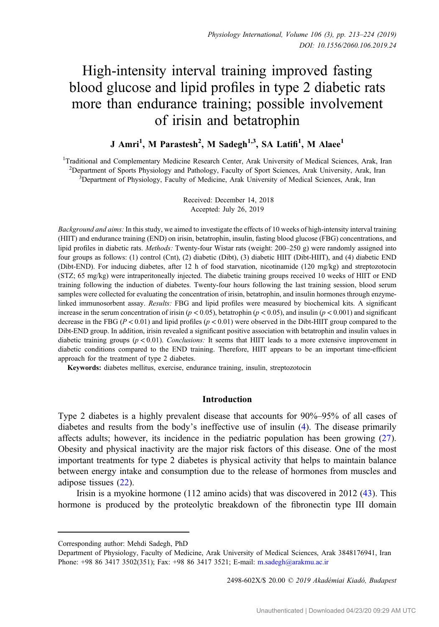# High-intensity interval training improved fasting blood glucose and lipid profiles in type 2 diabetic rats more than endurance training; possible involvement of irisin and betatrophin

# J Amri<sup>1</sup>, M Parastesh<sup>2</sup>, M Sadegh<sup>1,3</sup>, SA Latifi<sup>1</sup>, M Alaee<sup>1</sup>

<sup>1</sup>Traditional and Complementary Medicine Research Center, Arak University of Medical Sciences, Arak, Iran <sup>2</sup> Department of Sports Physiology and Pathology, Faculty of Sport Sciences, Arak University, Arak, Iran <sup>3</sup> Department of Physiology, Faculty of Medicine, Arak University of Medical Sciences, Arak, Iran <sup>3</sup>Department of Physiology, Faculty of Medicine, Arak University of Medical Sciences, Arak, Iran

> Received: December 14, 2018 Accepted: July 26, 2019

Background and aims: In this study, we aimed to investigate the effects of 10 weeks of high-intensity interval training (HIIT) and endurance training (END) on irisin, betatrophin, insulin, fasting blood glucose (FBG) concentrations, and lipid profiles in diabetic rats. Methods: Twenty-four Wistar rats (weight: 200–250 g) were randomly assigned into four groups as follows: (1) control (Cnt), (2) diabetic (Dibt), (3) diabetic HIIT (Dibt-HIIT), and (4) diabetic END (Dibt-END). For inducing diabetes, after 12 h of food starvation, nicotinamide (120 mg/kg) and streptozotocin (STZ; 65 mg/kg) were intraperitoneally injected. The diabetic training groups received 10 weeks of HIIT or END training following the induction of diabetes. Twenty-four hours following the last training session, blood serum samples were collected for evaluating the concentration of irisin, betatrophin, and insulin hormones through enzymelinked immunosorbent assay. Results: FBG and lipid profiles were measured by biochemical kits. A significant increase in the serum concentration of irisin ( $p < 0.05$ ), betatrophin ( $p < 0.05$ ), and insulin ( $p < 0.001$ ) and significant decrease in the FBG ( $P < 0.01$ ) and lipid profiles ( $p < 0.01$ ) were observed in the Dibt-HIIT group compared to the Dibt-END group. In addition, irisin revealed a significant positive association with betatrophin and insulin values in diabetic training groups ( $p < 0.01$ ). Conclusions: It seems that HIIT leads to a more extensive improvement in diabetic conditions compared to the END training. Therefore, HIIT appears to be an important time-efficient approach for the treatment of type 2 diabetes.

Keywords: diabetes mellitus, exercise, endurance training, insulin, streptozotocin

## Introduction

Type 2 diabetes is a highly prevalent disease that accounts for 90%–95% of all cases of diabetes and results from the body's ineffective use of insulin ([4\)](#page-9-0). The disease primarily affects adults; however, its incidence in the pediatric population has been growing [\(27](#page-10-0)). Obesity and physical inactivity are the major risk factors of this disease. One of the most important treatments for type 2 diabetes is physical activity that helps to maintain balance between energy intake and consumption due to the release of hormones from muscles and adipose tissues ([22\)](#page-10-0).

Irisin is a myokine hormone (112 amino acids) that was discovered in 2012 ([43\)](#page-11-0). This hormone is produced by the proteolytic breakdown of the fibronectin type III domain

2498-602X/\$ 20.00 © 2019 Akadémiai Kiadó, Budapest

Corresponding author: Mehdi Sadegh, PhD

Department of Physiology, Faculty of Medicine, Arak University of Medical Sciences, Arak 3848176941, Iran Phone: +98 86 3417 3502(351); Fax: +98 86 3417 3521; E-mail: [m.sadegh@arakmu.ac.ir](mailto:m.sadegh@arakmu.ac.ir)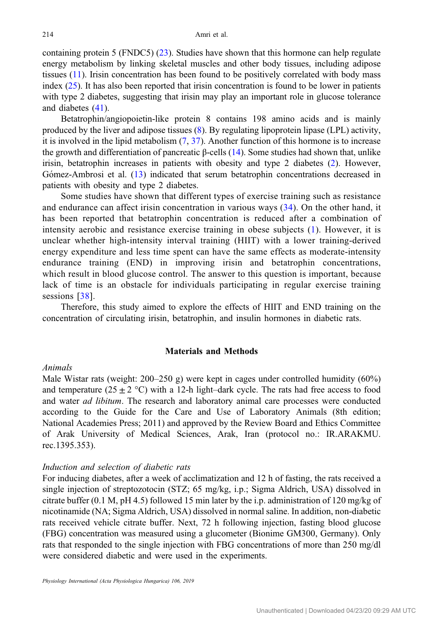containing protein 5 (FNDC5) ([23\)](#page-10-0). Studies have shown that this hormone can help regulate energy metabolism by linking skeletal muscles and other body tissues, including adipose tissues ([11\)](#page-10-0). Irisin concentration has been found to be positively correlated with body mass index  $(25)$  $(25)$ . It has also been reported that irisin concentration is found to be lower in patients with type 2 diabetes, suggesting that irisin may play an important role in glucose tolerance and diabetes [\(41](#page-11-0)).

Betatrophin/angiopoietin-like protein 8 contains 198 amino acids and is mainly produced by the liver and adipose tissues ([8\)](#page-9-0). By regulating lipoprotein lipase (LPL) activity, it is involved in the lipid metabolism  $(7, 37)$  $(7, 37)$  $(7, 37)$  $(7, 37)$ . Another function of this hormone is to increase the growth and differentiation of pancreatic  $\beta$ -cells [\(14](#page-10-0)). Some studies had shown that, unlike irisin, betatrophin increases in patients with obesity and type 2 diabetes ([2\)](#page-9-0). However, Gómez-Ambrosi et al. [\(13](#page-10-0)) indicated that serum betatrophin concentrations decreased in patients with obesity and type 2 diabetes.

Some studies have shown that different types of exercise training such as resistance and endurance can affect irisin concentration in various ways [\(34\)](#page-11-0). On the other hand, it has been reported that betatrophin concentration is reduced after a combination of intensity aerobic and resistance exercise training in obese subjects ([1](#page-9-0)). However, it is unclear whether high-intensity interval training (HIIT) with a lower training-derived energy expenditure and less time spent can have the same effects as moderate-intensity endurance training (END) in improving irisin and betatrophin concentrations, which result in blood glucose control. The answer to this question is important, because lack of time is an obstacle for individuals participating in regular exercise training sessions [[38](#page-11-0)].

Therefore, this study aimed to explore the effects of HIIT and END training on the concentration of circulating irisin, betatrophin, and insulin hormones in diabetic rats.

## Materials and Methods

#### Animals

Male Wistar rats (weight: 200–250 g) were kept in cages under controlled humidity (60%) and temperature (25  $\pm$  2 °C) with a 12-h light–dark cycle. The rats had free access to food and water *ad libitum*. The research and laboratory animal care processes were conducted according to the Guide for the Care and Use of Laboratory Animals (8th edition; National Academies Press; 2011) and approved by the Review Board and Ethics Committee of Arak University of Medical Sciences, Arak, Iran (protocol no.: IR.ARAKMU. rec.1395.353).

#### Induction and selection of diabetic rats

For inducing diabetes, after a week of acclimatization and 12 h of fasting, the rats received a single injection of streptozotocin (STZ; 65 mg/kg, i.p.; Sigma Aldrich, USA) dissolved in citrate buffer (0.1 M, pH 4.5) followed 15 min later by the i.p. administration of 120 mg/kg of nicotinamide (NA; Sigma Aldrich, USA) dissolved in normal saline. In addition, non-diabetic rats received vehicle citrate buffer. Next, 72 h following injection, fasting blood glucose (FBG) concentration was measured using a glucometer (Bionime GM300, Germany). Only rats that responded to the single injection with FBG concentrations of more than 250 mg/dl were considered diabetic and were used in the experiments.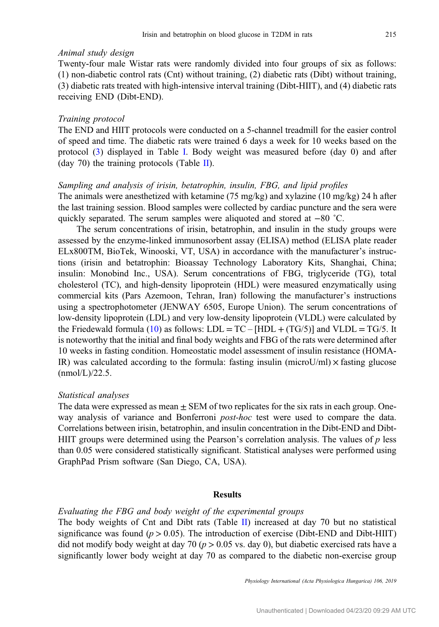# Animal study design

Twenty-four male Wistar rats were randomly divided into four groups of six as follows: (1) non-diabetic control rats (Cnt) without training, (2) diabetic rats (Dibt) without training, (3) diabetic rats treated with high-intensive interval training (Dibt-HIIT), and (4) diabetic rats receiving END (Dibt-END).

#### Training protocol

The END and HIIT protocols were conducted on a 5-channel treadmill for the easier control of speed and time. The diabetic rats were trained 6 days a week for 10 weeks based on the protocol ([3\)](#page-9-0) displayed in Table [I.](#page-3-0) Body weight was measured before (day 0) and after (day 70) the training protocols (Table [II\)](#page-4-0).

#### Sampling and analysis of irisin, betatrophin, insulin, FBG, and lipid profiles

The animals were anesthetized with ketamine (75 mg/kg) and xylazine (10 mg/kg) 24 h after the last training session. Blood samples were collected by cardiac puncture and the sera were quickly separated. The serum samples were aliquoted and stored at −80 ˚C.

The serum concentrations of irisin, betatrophin, and insulin in the study groups were assessed by the enzyme-linked immunosorbent assay (ELISA) method (ELISA plate reader ELx800TM, BioTek, Winooski, VT, USA) in accordance with the manufacturer's instructions (irisin and betatrophin: Bioassay Technology Laboratory Kits, Shanghai, China; insulin: Monobind Inc., USA). Serum concentrations of FBG, triglyceride (TG), total cholesterol (TC), and high-density lipoprotein (HDL) were measured enzymatically using commercial kits (Pars Azemoon, Tehran, Iran) following the manufacturer's instructions using a spectrophotometer (JENWAY 6505, Europe Union). The serum concentrations of low-density lipoprotein (LDL) and very low-density lipoprotein (VLDL) were calculated by the Friedewald formula [\(10](#page-10-0)) as follows:  $LDL = TC - [HDL + (TG/5)]$  and  $VLDL = TG/5$ . It is noteworthy that the initial and final body weights and FBG of the rats were determined after 10 weeks in fasting condition. Homeostatic model assessment of insulin resistance (HOMA-IR) was calculated according to the formula: fasting insulin (microU/ml)  $\times$  fasting glucose  $(mmol/L)/22.5$ .

#### Statistical analyses

The data were expressed as mean  $\pm$  SEM of two replicates for the six rats in each group. Oneway analysis of variance and Bonferroni *post-hoc* test were used to compare the data. Correlations between irisin, betatrophin, and insulin concentration in the Dibt-END and Dibt-HIIT groups were determined using the Pearson's correlation analysis. The values of  $p$  less than 0.05 were considered statistically significant. Statistical analyses were performed using GraphPad Prism software (San Diego, CA, USA).

#### Results

# Evaluating the FBG and body weight of the experimental groups

The body weights of Cnt and Dibt rats (Table [II](#page-4-0)) increased at day 70 but no statistical significance was found ( $p > 0.05$ ). The introduction of exercise (Dibt-END and Dibt-HIIT) did not modify body weight at day 70 ( $p > 0.05$  vs. day 0), but diabetic exercised rats have a significantly lower body weight at day 70 as compared to the diabetic non-exercise group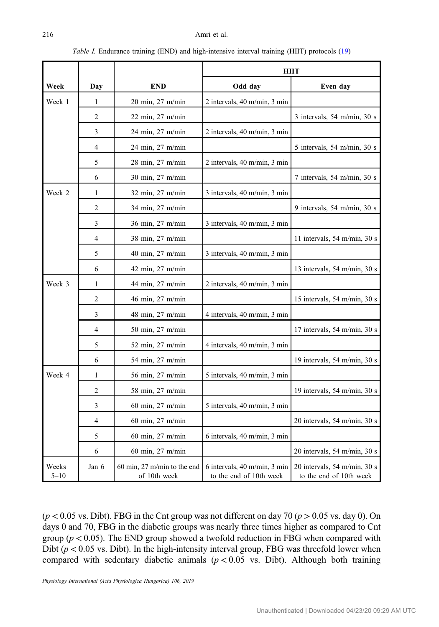<span id="page-3-0"></span>

|                   |       |                                                        | <b>HIIT</b>                                             |                                                         |  |
|-------------------|-------|--------------------------------------------------------|---------------------------------------------------------|---------------------------------------------------------|--|
| Week              | Day   | <b>END</b>                                             | Odd day                                                 | Even day                                                |  |
| Week 1            | 1     | $20 \text{ min}, 27 \text{ m/min}$                     | 2 intervals, 40 m/min, 3 min                            |                                                         |  |
|                   | 2     | 22 min, 27 m/min                                       |                                                         | 3 intervals, 54 m/min, 30 s                             |  |
|                   | 3     | 24 min, 27 m/min                                       | 2 intervals, 40 m/min, 3 min                            |                                                         |  |
|                   | 4     | 24 min, 27 m/min                                       |                                                         | 5 intervals, 54 m/min, 30 s                             |  |
|                   | 5     | 28 min, 27 m/min                                       | 2 intervals, 40 m/min, 3 min                            |                                                         |  |
|                   | 6     | 30 min, 27 m/min                                       |                                                         | 7 intervals, 54 m/min, 30 s                             |  |
| Week 2            | 1     | 32 min, 27 m/min                                       | 3 intervals, 40 m/min, 3 min                            |                                                         |  |
|                   | 2     | 34 min, 27 m/min                                       |                                                         | 9 intervals, 54 m/min, 30 s                             |  |
|                   | 3     | 36 min, 27 m/min                                       | 3 intervals, 40 m/min, 3 min                            |                                                         |  |
|                   | 4     | 38 min, 27 m/min                                       |                                                         | 11 intervals, 54 m/min, 30 s                            |  |
|                   | 5     | 40 min, 27 m/min                                       | 3 intervals, 40 m/min, 3 min                            |                                                         |  |
|                   | 6     | $42 \text{ min}, 27 \text{ m/min}$                     |                                                         | 13 intervals, 54 m/min, 30 s                            |  |
| Week 3            | 1     | 44 min, 27 m/min                                       | 2 intervals, 40 m/min, 3 min                            |                                                         |  |
|                   | 2     | 46 min, 27 m/min                                       |                                                         | 15 intervals, 54 m/min, 30 s                            |  |
|                   | 3     | 48 min, 27 m/min                                       | 4 intervals, 40 m/min, 3 min                            |                                                         |  |
|                   | 4     | 50 min, 27 m/min                                       |                                                         | 17 intervals, 54 m/min, 30 s                            |  |
|                   | 5     | 52 min, 27 m/min                                       | 4 intervals, 40 m/min, 3 min                            |                                                         |  |
|                   | 6     | 54 min, 27 m/min                                       |                                                         | 19 intervals, 54 m/min, 30 s                            |  |
| Week 4            | 1     | 56 min, 27 m/min                                       | 5 intervals, 40 m/min, 3 min                            |                                                         |  |
|                   | 2     | 58 min, 27 m/min                                       |                                                         | 19 intervals, 54 m/min, 30 s                            |  |
|                   | 3     | 60 min, 27 m/min                                       | 5 intervals, 40 m/min, 3 min                            |                                                         |  |
|                   | 4     | 60 min, 27 m/min                                       |                                                         | 20 intervals, 54 m/min, 30 s                            |  |
|                   | 5     | $60 \text{ min}$ , $27 \text{ m/min}$                  | 6 intervals, 40 m/min, 3 min                            |                                                         |  |
|                   | 6     | $60 \text{ min}$ , $27 \text{ m/min}$                  |                                                         | 20 intervals, 54 m/min, 30 s                            |  |
| Weeks<br>$5 - 10$ | Jan 6 | $60 \text{ min}$ , 27 m/min to the end<br>of 10th week | 6 intervals, 40 m/min, 3 min<br>to the end of 10th week | 20 intervals, 54 m/min, 30 s<br>to the end of 10th week |  |

Table I. Endurance training (END) and high-intensive interval training (HIIT) protocols ([19\)](#page-10-0)

 $(p < 0.05$  vs. Dibt). FBG in the Cnt group was not different on day 70  $(p > 0.05$  vs. day 0). On days 0 and 70, FBG in the diabetic groups was nearly three times higher as compared to Cnt group ( $p < 0.05$ ). The END group showed a twofold reduction in FBG when compared with Dibt ( $p < 0.05$  vs. Dibt). In the high-intensity interval group, FBG was threefold lower when compared with sedentary diabetic animals ( $p < 0.05$  vs. Dibt). Although both training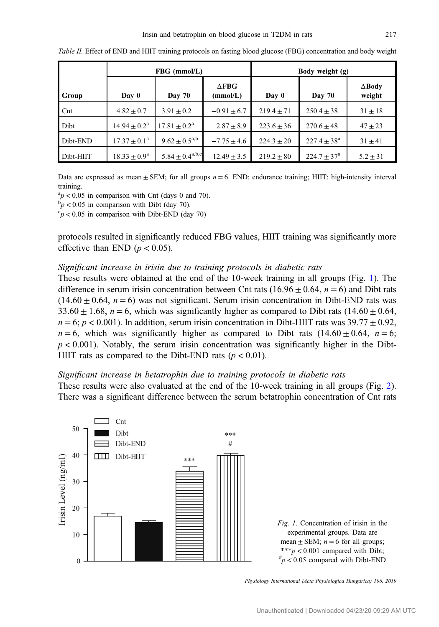|                 | FBG (mmol/L)               |                        |                          | Body weight (g) |                      |                         |
|-----------------|----------------------------|------------------------|--------------------------|-----------------|----------------------|-------------------------|
| Group           | Day 0                      | <b>Day 70</b>          | $\Delta$ FBG<br>(mmol/L) | Day 0           | <b>Day 70</b>        | $\Delta$ Body<br>weight |
| $_{\text{Cnt}}$ | $4.82 \pm 0.7$             | $3.91 \pm 0.2$         | $-0.91 \pm 6.7$          | $219.4 + 71$    | $250.4 + 38$         | $31 \pm 18$             |
| Dibt            | $14.94 \pm 0.2^{\text{a}}$ | $17.81 + 0.2^{\rm a}$  | $2.87 \pm 8.9$           | $223.6 + 36$    | $270.6 + 48$         | $47 + 23$               |
| Dibt-END        | $17.37 + 0.1^{\circ}$      | $9.62 \pm 0.5^{a,b}$   | $-7.75 \pm 4.6$          | $224.3 + 20$    | $227.4 + 38^a$       | $31 \pm 41$             |
| Dibt-HIIT       | $18.33 + 0.9^a$            | $5.84 \pm 0.4^{a,b,c}$ | $-12.49 \pm 3.5$         | $219.2 + 80$    | $224.7 + 37^{\circ}$ | $5.2 \pm 31$            |

<span id="page-4-0"></span>Table II. Effect of END and HIIT training protocols on fasting blood glucose (FBG) concentration and body weight

Data are expressed as mean  $\pm$  SEM; for all groups  $n = 6$ . END: endurance training; HIIT: high-intensity interval training.

 $\binom{a}{b}$  < 0.05 in comparison with Cnt (days 0 and 70).

 $\bar{p}_p$  < 0.05 in comparison with Dibt (day 70).

 $\epsilon_p$  < 0.05 in comparison with Dibt-END (day 70)

protocols resulted in significantly reduced FBG values, HIIT training was significantly more effective than END ( $p < 0.05$ ).

#### Significant increase in irisin due to training protocols in diabetic rats

These results were obtained at the end of the 10-week training in all groups (Fig. 1). The difference in serum irisin concentration between Cnt rats (16.96  $\pm$  0.64, n = 6) and Dibt rats  $(14.60 \pm 0.64, n = 6)$  was not significant. Serum irisin concentration in Dibt-END rats was 33.60  $\pm$  1.68, n = 6, which was significantly higher as compared to Dibt rats (14.60  $\pm$  0.64,  $n = 6$ ;  $p < 0.001$ ). In addition, serum irisin concentration in Dibt-HIIT rats was 39.77  $\pm$  0.92,  $n = 6$ , which was significantly higher as compared to Dibt rats (14.60  $\pm$  0.64,  $n = 6$ ;  $p < 0.001$ ). Notably, the serum irisin concentration was significantly higher in the Dibt-HIIT rats as compared to the Dibt-END rats ( $p < 0.01$ ).

#### Significant increase in betatrophin due to training protocols in diabetic rats

These results were also evaluated at the end of the 10-week training in all groups (Fig. [2](#page-5-0)). There was a significant difference between the serum betatrophin concentration of Cnt rats



Fig. 1. Concentration of irisin in the experimental groups. Data are mean  $\pm$  SEM;  $n = 6$  for all groups; \*\*\*p < 0.001 compared with Dibt;  $\mu^* p < 0.05$  compared with Dibt-END

Physiology International (Acta Physiologica Hungarica) 106, 2019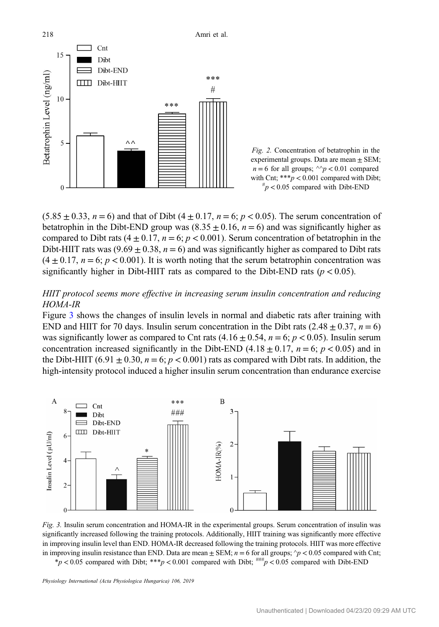<span id="page-5-0"></span>

Fig. 2. Concentration of betatrophin in the experimental groups. Data are mean  $\pm$  SEM;  $n = 6$  for all groups;  $\sqrt{n} < 0.01$  compared with Cnt;  $***p < 0.001$  compared with Dibt;  $\mu_p$  < 0.05 compared with Dibt-END

 $(5.85 \pm 0.33, n = 6)$  and that of Dibt  $(4 \pm 0.17, n = 6; p < 0.05)$ . The serum concentration of betatrophin in the Dibt-END group was  $(8.35 \pm 0.16, n = 6)$  and was significantly higher as compared to Dibt rats  $(4 \pm 0.17, n = 6; p < 0.001)$ . Serum concentration of betatrophin in the Dibt-HIIT rats was  $(9.69 \pm 0.38, n = 6)$  and was significantly higher as compared to Dibt rats  $(4 \pm 0.17, n = 6; p < 0.001)$ . It is worth noting that the serum betatrophin concentration was significantly higher in Dibt-HIIT rats as compared to the Dibt-END rats ( $p < 0.05$ ).

# HIIT protocol seems more effective in increasing serum insulin concentration and reducing HOMA-IR

Figure 3 shows the changes of insulin levels in normal and diabetic rats after training with END and HIIT for 70 days. Insulin serum concentration in the Dibt rats  $(2.48 \pm 0.37, n = 6)$ was significantly lower as compared to Cnt rats  $(4.16 \pm 0.54, n = 6; p < 0.05)$ . Insulin serum concentration increased significantly in the Dibt-END (4.18  $\pm$  0.17, n = 6; p < 0.05) and in the Dibt-HIIT (6.91  $\pm$  0.30, n = 6; p < 0.001) rats as compared with Dibt rats. In addition, the high-intensity protocol induced a higher insulin serum concentration than endurance exercise



Fig. 3. Insulin serum concentration and HOMA-IR in the experimental groups. Serum concentration of insulin was significantly increased following the training protocols. Additionally, HIIT training was significantly more effective in improving insulin level than END. HOMA-IR decreased following the training protocols. HIIT was more effective in improving insulin resistance than END. Data are mean  $\pm$  SEM;  $n = 6$  for all groups;  $\gamma p < 0.05$  compared with Cnt; \*p < 0.05 compared with Dibt; \*\*\*p < 0.001 compared with Dibt;  $\frac{m\mu}{p}$  < 0.05 compared with Dibt-END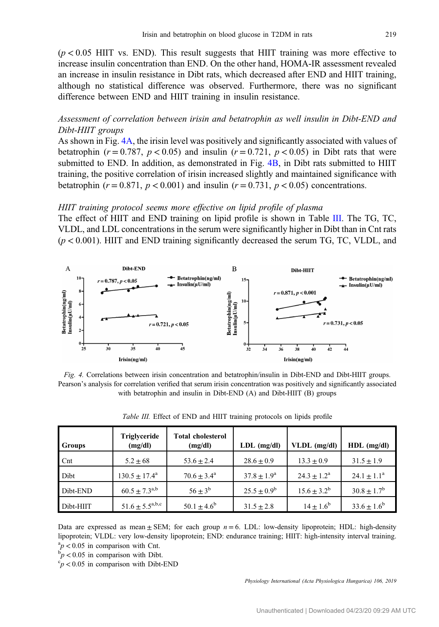$(p < 0.05$  HIIT vs. END). This result suggests that HIIT training was more effective to increase insulin concentration than END. On the other hand, HOMA-IR assessment revealed an increase in insulin resistance in Dibt rats, which decreased after END and HIIT training, although no statistical difference was observed. Furthermore, there was no significant difference between END and HIIT training in insulin resistance.

# Assessment of correlation between irisin and betatrophin as well insulin in Dibt-END and Dibt-HIIT groups

As shown in Fig. 4A, the irisin level was positively and significantly associated with values of betatrophin ( $r = 0.787$ ,  $p < 0.05$ ) and insulin ( $r = 0.721$ ,  $p < 0.05$ ) in Dibt rats that were submitted to END. In addition, as demonstrated in Fig. 4B, in Dibt rats submitted to HIIT training, the positive correlation of irisin increased slightly and maintained significance with betatrophin ( $r = 0.871$ ,  $p < 0.001$ ) and insulin ( $r = 0.731$ ,  $p < 0.05$ ) concentrations.

#### HIIT training protocol seems more effective on lipid profile of plasma

The effect of HIIT and END training on lipid profile is shown in Table III. The TG, TC, VLDL, and LDL concentrations in the serum were significantly higher in Dibt than in Cnt rats  $(p < 0.001)$ . HIIT and END training significantly decreased the serum TG, TC, VLDL, and





| <b>Groups</b>   | <b>Triglyceride</b><br>(mg/dl) | <b>Total cholesterol</b><br>(mg/dl) | $LDL$ (mg/dl)          | VLDL (mg/dl)         | HDL<br>(mg/dl)         |
|-----------------|--------------------------------|-------------------------------------|------------------------|----------------------|------------------------|
| $_{\text{Cnt}}$ | $5.2 \pm 68$                   | $53.6 \pm 2.4$                      | $28.6 \pm 0.9$         | $13.3 \pm 0.9$       | $31.5 \pm 1.9$         |
| Dibt            | $130.5 \pm 17.4^{\circ}$       | $70.6 + 3.4^{\circ}$                | $37.8 \pm 1.9^{\circ}$ | $24.3 + 1.2^a$       | $24.1 \pm 1.1^a$       |
| Dibt-END        | $60.5 \pm 7.3^{\text{a,b}}$    | $56 + 3^b$                          | $25.5 + 0.9^b$         | $15.6 \pm 3.2^b$     | $30.8 \pm 1.7^{\rm b}$ |
| Dibt-HIIT       | $51.6 \pm 5.5^{a,b,c}$         | $50.1 \pm 4.6^{\circ}$              | $31.5 \pm 2.8$         | $14 \pm 1.6^{\rm b}$ | $33.6 \pm 1.6^b$       |

Table III. Effect of END and HIIT training protocols on lipids profile

Data are expressed as mean  $\pm$  SEM; for each group  $n = 6$ . LDL: low-density lipoprotein; HDL: high-density lipoprotein; VLDL: very low-density lipoprotein; END: endurance training; HIIT: high-intensity interval training.  $\frac{a_p}{b_p}$  < 0.05 in comparison with Cnt.

 $p'$   $p$  < 0.05 in comparison with Dibt.

 $\degree p$  < 0.05 in comparison with Dibt-END

Physiology International (Acta Physiologica Hungarica) 106, 2019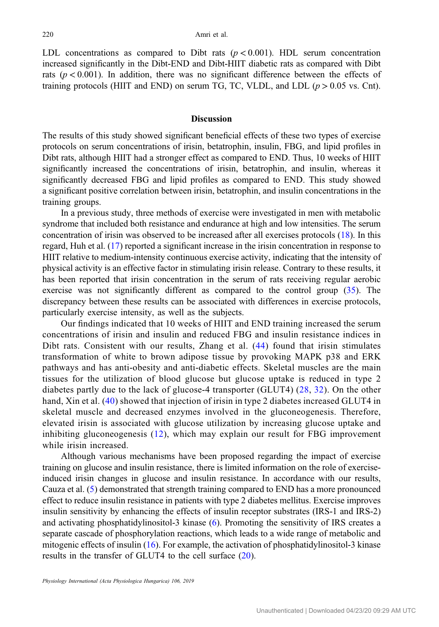LDL concentrations as compared to Dibt rats ( $p < 0.001$ ). HDL serum concentration increased significantly in the Dibt-END and Dibt-HIIT diabetic rats as compared with Dibt rats ( $p < 0.001$ ). In addition, there was no significant difference between the effects of training protocols (HIIT and END) on serum TG, TC, VLDL, and LDL  $(p > 0.05$  vs. Cnt).

# **Discussion**

The results of this study showed significant beneficial effects of these two types of exercise protocols on serum concentrations of irisin, betatrophin, insulin, FBG, and lipid profiles in Dibt rats, although HIIT had a stronger effect as compared to END. Thus, 10 weeks of HIIT significantly increased the concentrations of irisin, betatrophin, and insulin, whereas it significantly decreased FBG and lipid profiles as compared to END. This study showed a significant positive correlation between irisin, betatrophin, and insulin concentrations in the training groups.

In a previous study, three methods of exercise were investigated in men with metabolic syndrome that included both resistance and endurance at high and low intensities. The serum concentration of irisin was observed to be increased after all exercises protocols ([18\)](#page-10-0). In this regard, Huh et al. ([17\)](#page-10-0) reported a significant increase in the irisin concentration in response to HIIT relative to medium-intensity continuous exercise activity, indicating that the intensity of physical activity is an effective factor in stimulating irisin release. Contrary to these results, it has been reported that irisin concentration in the serum of rats receiving regular aerobic exercise was not significantly different as compared to the control group ([35\)](#page-11-0). The discrepancy between these results can be associated with differences in exercise protocols, particularly exercise intensity, as well as the subjects.

Our findings indicated that 10 weeks of HIIT and END training increased the serum concentrations of irisin and insulin and reduced FBG and insulin resistance indices in Dibt rats. Consistent with our results, Zhang et al. [\(44\)](#page-11-0) found that irisin stimulates transformation of white to brown adipose tissue by provoking MAPK p38 and ERK pathways and has anti-obesity and anti-diabetic effects. Skeletal muscles are the main tissues for the utilization of blood glucose but glucose uptake is reduced in type 2 diabetes partly due to the lack of glucose-4 transporter (GLUT4) ([28](#page-10-0), [32](#page-11-0)). On the other hand, Xin et al. ([40\)](#page-11-0) showed that injection of irisin in type 2 diabetes increased GLUT4 in skeletal muscle and decreased enzymes involved in the gluconeogenesis. Therefore, elevated irisin is associated with glucose utilization by increasing glucose uptake and inhibiting gluconeogenesis ([12](#page-10-0)), which may explain our result for FBG improvement while irisin increased.

Although various mechanisms have been proposed regarding the impact of exercise training on glucose and insulin resistance, there is limited information on the role of exerciseinduced irisin changes in glucose and insulin resistance. In accordance with our results, Cauza et al. [\(5](#page-9-0)) demonstrated that strength training compared to END has a more pronounced effect to reduce insulin resistance in patients with type 2 diabetes mellitus. Exercise improves insulin sensitivity by enhancing the effects of insulin receptor substrates (IRS-1 and IRS-2) and activating phosphatidylinositol-3 kinase ([6\)](#page-9-0). Promoting the sensitivity of IRS creates a separate cascade of phosphorylation reactions, which leads to a wide range of metabolic and mitogenic effects of insulin ([16\)](#page-10-0). For example, the activation of phosphatidylinositol-3 kinase results in the transfer of GLUT4 to the cell surface ([20](#page-10-0)).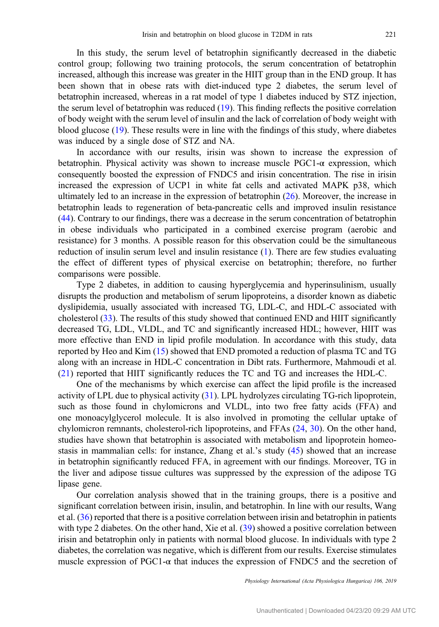In this study, the serum level of betatrophin significantly decreased in the diabetic control group; following two training protocols, the serum concentration of betatrophin increased, although this increase was greater in the HIIT group than in the END group. It has been shown that in obese rats with diet-induced type 2 diabetes, the serum level of betatrophin increased, whereas in a rat model of type 1 diabetes induced by STZ injection, the serum level of betatrophin was reduced [\(19](#page-10-0)). This finding reflects the positive correlation of body weight with the serum level of insulin and the lack of correlation of body weight with blood glucose [\(19](#page-10-0)). These results were in line with the findings of this study, where diabetes was induced by a single dose of STZ and NA.

In accordance with our results, irisin was shown to increase the expression of betatrophin. Physical activity was shown to increase muscle  $PGC1-\alpha$  expression, which consequently boosted the expression of FNDC5 and irisin concentration. The rise in irisin increased the expression of UCP1 in white fat cells and activated MAPK p38, which ultimately led to an increase in the expression of betatrophin ([26\)](#page-10-0). Moreover, the increase in betatrophin leads to regeneration of beta-pancreatic cells and improved insulin resistance [\(44](#page-11-0)). Contrary to our findings, there was a decrease in the serum concentration of betatrophin in obese individuals who participated in a combined exercise program (aerobic and resistance) for 3 months. A possible reason for this observation could be the simultaneous reduction of insulin serum level and insulin resistance ([1](#page-9-0)). There are few studies evaluating the effect of different types of physical exercise on betatrophin; therefore, no further comparisons were possible.

Type 2 diabetes, in addition to causing hyperglycemia and hyperinsulinism, usually disrupts the production and metabolism of serum lipoproteins, a disorder known as diabetic dyslipidemia, usually associated with increased TG, LDL-C, and HDL-C associated with cholesterol [\(33](#page-11-0)). The results of this study showed that continued END and HIIT significantly decreased TG, LDL, VLDL, and TC and significantly increased HDL; however, HIIT was more effective than END in lipid profile modulation. In accordance with this study, data reported by Heo and Kim [\(15](#page-10-0)) showed that END promoted a reduction of plasma TC and TG along with an increase in HDL-C concentration in Dibt rats. Furthermore, Mahmoudi et al. [\(21](#page-10-0)) reported that HIIT significantly reduces the TC and TG and increases the HDL-C.

One of the mechanisms by which exercise can affect the lipid profile is the increased activity of LPL due to physical activity ([31\)](#page-10-0). LPL hydrolyzes circulating TG-rich lipoprotein, such as those found in chylomicrons and VLDL, into two free fatty acids (FFA) and one monoacylglycerol molecule. It is also involved in promoting the cellular uptake of chylomicron remnants, cholesterol-rich lipoproteins, and FFAs ([24,](#page-10-0) [30](#page-10-0)). On the other hand, studies have shown that betatrophin is associated with metabolism and lipoprotein homeostasis in mammalian cells: for instance, Zhang et al.'s study ([45\)](#page-11-0) showed that an increase in betatrophin significantly reduced FFA, in agreement with our findings. Moreover, TG in the liver and adipose tissue cultures was suppressed by the expression of the adipose TG lipase gene.

Our correlation analysis showed that in the training groups, there is a positive and significant correlation between irisin, insulin, and betatrophin. In line with our results, Wang et al. ([36\)](#page-11-0) reported that there is a positive correlation between irisin and betatrophin in patients with type 2 diabetes. On the other hand, Xie et al. [\(39](#page-11-0)) showed a positive correlation between irisin and betatrophin only in patients with normal blood glucose. In individuals with type 2 diabetes, the correlation was negative, which is different from our results. Exercise stimulates muscle expression of PGC1-α that induces the expression of FNDC5 and the secretion of

Physiology International (Acta Physiologica Hungarica) 106, 2019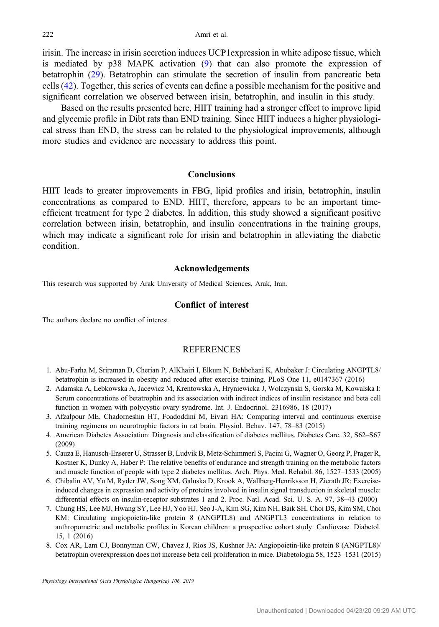<span id="page-9-0"></span>irisin. The increase in irisin secretion induces UCP1expression in white adipose tissue, which is mediated by p38 MAPK activation ([9\)](#page-10-0) that can also promote the expression of betatrophin ([29\)](#page-10-0). Betatrophin can stimulate the secretion of insulin from pancreatic beta cells [\(42](#page-11-0)). Together, this series of events can define a possible mechanism for the positive and significant correlation we observed between irisin, betatrophin, and insulin in this study.

Based on the results presented here, HIIT training had a stronger effect to improve lipid and glycemic profile in Dibt rats than END training. Since HIIT induces a higher physiological stress than END, the stress can be related to the physiological improvements, although more studies and evidence are necessary to address this point.

# Conclusions

HIIT leads to greater improvements in FBG, lipid profiles and irisin, betatrophin, insulin concentrations as compared to END. HIIT, therefore, appears to be an important timeefficient treatment for type 2 diabetes. In addition, this study showed a significant positive correlation between irisin, betatrophin, and insulin concentrations in the training groups, which may indicate a significant role for irisin and betatrophin in alleviating the diabetic condition.

#### Acknowledgements

This research was supported by Arak University of Medical Sciences, Arak, Iran.

#### Conflict of interest

The authors declare no conflict of interest.

# **REFERENCES**

- 1. Abu-Farha M, Sriraman D, Cherian P, AlKhairi I, Elkum N, Behbehani K, Abubaker J: Circulating ANGPTL8/ betatrophin is increased in obesity and reduced after exercise training. PLoS One 11, e0147367 (2016)
- 2. Adamska A, Lebkowska A, Jacewicz M, Krentowska A, Hryniewicka J, Wolczynski S, Gorska M, Kowalska I: Serum concentrations of betatrophin and its association with indirect indices of insulin resistance and beta cell function in women with polycystic ovary syndrome. Int. J. Endocrinol. 2316986, 18 (2017)
- 3. Afzalpour ME, Chadorneshin HT, Foadoddini M, Eivari HA: Comparing interval and continuous exercise training regimens on neurotrophic factors in rat brain. Physiol. Behav. 147, 78–83 (2015)
- 4. American Diabetes Association: Diagnosis and classification of diabetes mellitus. Diabetes Care. 32, S62–S67 (2009)
- 5. Cauza E, Hanusch-Enserer U, Strasser B, Ludvik B, Metz-Schimmerl S, Pacini G, Wagner O, Georg P, Prager R, Kostner K, Dunky A, Haber P: The relative benefits of endurance and strength training on the metabolic factors and muscle function of people with type 2 diabetes mellitus. Arch. Phys. Med. Rehabil. 86, 1527–1533 (2005)
- 6. Chibalin AV, Yu M, Ryder JW, Song XM, Galuska D, Krook A, Wallberg-Henriksson H, Zierath JR: Exerciseinduced changes in expression and activity of proteins involved in insulin signal transduction in skeletal muscle: differential effects on insulin-receptor substrates 1 and 2. Proc. Natl. Acad. Sci. U. S. A. 97, 38–43 (2000)
- 7. Chung HS, Lee MJ, Hwang SY, Lee HJ, Yoo HJ, Seo J-A, Kim SG, Kim NH, Baik SH, Choi DS, Kim SM, Choi KM: Circulating angiopoietin-like protein 8 (ANGPTL8) and ANGPTL3 concentrations in relation to anthropometric and metabolic profiles in Korean children: a prospective cohort study. Cardiovasc. Diabetol. 15, 1 (2016)
- 8. Cox AR, Lam CJ, Bonnyman CW, Chavez J, Rios JS, Kushner JA: Angiopoietin-like protein 8 (ANGPTL8)/ betatrophin overexpression does not increase beta cell proliferation in mice. Diabetologia 58, 1523–1531 (2015)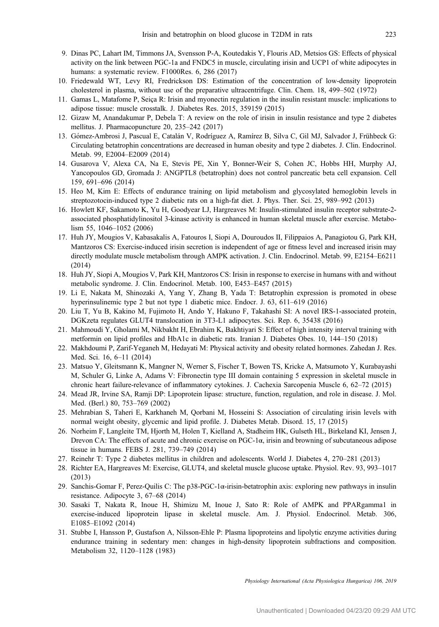- <span id="page-10-0"></span>9. Dinas PC, Lahart IM, Timmons JA, Svensson P-A, Koutedakis Y, Flouris AD, Metsios GS: Effects of physical activity on the link between PGC-1a and FNDC5 in muscle, circulating irisin and UCP1 of white adipocytes in humans: a systematic review. F1000Res. 6, 286 (2017)
- 10. Friedewald WT, Levy RI, Fredrickson DS: Estimation of the concentration of low-density lipoprotein cholesterol in plasma, without use of the preparative ultracentrifuge. Clin. Chem. 18, 499–502 (1972)
- 11. Gamas L, Matafome P, Seiça R: Irisin and myonectin regulation in the insulin resistant muscle: implications to adipose tissue: muscle crosstalk. J. Diabetes Res. 2015, 359159 (2015)
- 12. Gizaw M, Anandakumar P, Debela T: A review on the role of irisin in insulin resistance and type 2 diabetes mellitus. J. Pharmacopuncture 20, 235–242 (2017)
- 13. Gómez-Ambrosi J, Pascual E, Catalán V, Rodríguez A, Ramírez B, Silva C, Gil MJ, Salvador J, Frühbeck G: Circulating betatrophin concentrations are decreased in human obesity and type 2 diabetes. J. Clin. Endocrinol. Metab. 99, E2004–E2009 (2014)
- 14. Gusarova V, Alexa CA, Na E, Stevis PE, Xin Y, Bonner-Weir S, Cohen JC, Hobbs HH, Murphy AJ, Yancopoulos GD, Gromada J: ANGPTL8 (betatrophin) does not control pancreatic beta cell expansion. Cell 159, 691–696 (2014)
- 15. Heo M, Kim E: Effects of endurance training on lipid metabolism and glycosylated hemoglobin levels in streptozotocin-induced type 2 diabetic rats on a high-fat diet. J. Phys. Ther. Sci. 25, 989–992 (2013)
- 16. Howlett KF, Sakamoto K, Yu H, Goodyear LJ, Hargreaves M: Insulin-stimulated insulin receptor substrate-2 associated phosphatidylinositol 3-kinase activity is enhanced in human skeletal muscle after exercise. Metabolism 55, 1046–1052 (2006)
- 17. Huh JY, Mougios V, Kabasakalis A, Fatouros I, Siopi A, Douroudos II, Filippaios A, Panagiotou G, Park KH, Mantzoros CS: Exercise-induced irisin secretion is independent of age or fitness level and increased irisin may directly modulate muscle metabolism through AMPK activation. J. Clin. Endocrinol. Metab. 99, E2154–E6211 (2014)
- 18. Huh JY, Siopi A, Mougios V, Park KH, Mantzoros CS: Irisin in response to exercise in humans with and without metabolic syndrome. J. Clin. Endocrinol. Metab. 100, E453–E457 (2015)
- 19. Li E, Nakata M, Shinozaki A, Yang Y, Zhang B, Yada T: Betatrophin expression is promoted in obese hyperinsulinemic type 2 but not type 1 diabetic mice. Endocr. J. 63, 611–619 (2016)
- 20. Liu T, Yu B, Kakino M, Fujimoto H, Ando Y, Hakuno F, Takahashi SI: A novel IRS-1-associated protein, DGKzeta regulates GLUT4 translocation in 3T3-L1 adipocytes. Sci. Rep. 6, 35438 (2016)
- 21. Mahmoudi Y, Gholami M, Nikbakht H, Ebrahim K, Bakhtiyari S: Effect of high intensity interval training with metformin on lipid profiles and HbA1c in diabetic rats. Iranian J. Diabetes Obes. 10, 144–150 (2018)
- 22. Makhdoumi P, Zarif-Yeganeh M, Hedayati M: Physical activity and obesity related hormones. Zahedan J. Res. Med. Sci. 16, 6–11 (2014)
- 23. Matsuo Y, Gleitsmann K, Mangner N, Werner S, Fischer T, Bowen TS, Kricke A, Matsumoto Y, Kurabayashi M, Schuler G, Linke A, Adams V: Fibronectin type III domain containing 5 expression in skeletal muscle in chronic heart failure-relevance of inflammatory cytokines. J. Cachexia Sarcopenia Muscle 6, 62–72 (2015)
- 24. Mead JR, Irvine SA, Ramji DP: Lipoprotein lipase: structure, function, regulation, and role in disease. J. Mol. Med. (Berl.) 80, 753–769 (2002)
- 25. Mehrabian S, Taheri E, Karkhaneh M, Qorbani M, Hosseini S: Association of circulating irisin levels with normal weight obesity, glycemic and lipid profile. J. Diabetes Metab. Disord. 15, 17 (2015)
- 26. Norheim F, Langleite TM, Hjorth M, Holen T, Kielland A, Stadheim HK, Gulseth HL, Birkeland KI, Jensen J, Drevon CA: The effects of acute and chronic exercise on PGC-1 $\alpha$ , irisin and browning of subcutaneous adipose tissue in humans. FEBS J. 281, 739–749 (2014)
- 27. Reinehr T: Type 2 diabetes mellitus in children and adolescents. World J. Diabetes 4, 270–281 (2013)
- 28. Richter EA, Hargreaves M: Exercise, GLUT4, and skeletal muscle glucose uptake. Physiol. Rev. 93, 993–1017 (2013)
- 29. Sanchis-Gomar F, Perez-Quilis C: The p38-PGC-1α-irisin-betatrophin axis: exploring new pathways in insulin resistance. Adipocyte 3, 67–68 (2014)
- 30. Sasaki T, Nakata R, Inoue H, Shimizu M, Inoue J, Sato R: Role of AMPK and PPARgamma1 in exercise-induced lipoprotein lipase in skeletal muscle. Am. J. Physiol. Endocrinol. Metab. 306, E1085–E1092 (2014)
- 31. Stubbe I, Hansson P, Gustafson A, Nilsson-Ehle P: Plasma lipoproteins and lipolytic enzyme activities during endurance training in sedentary men: changes in high-density lipoprotein subfractions and composition. Metabolism 32, 1120–1128 (1983)